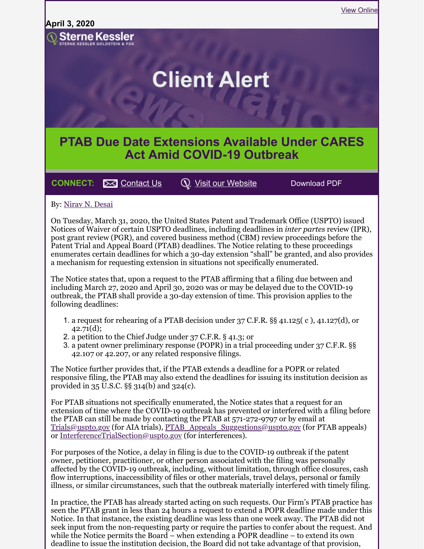

**CONNECT:**  $\bowtie$  [Contact Us](mailto:marketing@sternekessler.com)  $\heartsuit$  [Visit our Website](http://www.sternekessler.com/) Download PDF

## By: [Nirav](https://www.sternekessler.com/professionals/nirav-n-desai) N. Desai

On Tuesday, March 31, 2020, the United States Patent and Trademark Office (USPTO) issued Notices of Waiver of certain USPTO deadlines, including deadlines in *inter partes* review (IPR), post grant review (PGR), and covered business method (CBM) review proceedings before the Patent Trial and Appeal Board (PTAB) deadlines. The Notice relating to these proceedings enumerates certain deadlines for which a 30-day extension "shall" be granted, and also provides a mechanism for requesting extension in situations not specifically enumerated.

The Notice states that, upon a request to the PTAB affirming that a filing due between and including March 27, 2020 and April 30, 2020 was or may be delayed due to the COVID-19 outbreak, the PTAB shall provide a 30-day extension of time. This provision applies to the following deadlines:

- 1. a request for rehearing of a PTAB decision under 37 C.F.R. §§ 41.125( c ), 41.127(d), or 42.71(d);
- 2. a petition to the Chief Judge under 37 C.F.R. § 41.3; or
- 3. a patent owner preliminary response (POPR) in a trial proceeding under 37 C.F.R. §§ 42.107 or 42.207, or any related responsive filings.

The Notice further provides that, if the PTAB extends a deadline for a POPR or related responsive filing, the PTAB may also extend the deadlines for issuing its institution decision as provided in 35 U.S.C. §§ 314(b) and 324(c).

For PTAB situations not specifically enumerated, the Notice states that a request for an extension of time where the COVID-19 outbreak has prevented or interfered with a filing before the PTAB can still be made by contacting the PTAB at 571-272-9797 or by email at [Trials@uspto.gov](mailto:Trials@uspto.gov) (for AIA trials), [PTAB\\_Appeals\\_Suggestions@uspto.gov](mailto:PTAB_Appeals_Suggestions@uspto.gov) (for PTAB appeals) or [InterferenceTrialSection@uspto.gov](mailto:InterferenceTrialSection@uspto.gov) (for interferences).

For purposes of the Notice, a delay in filing is due to the COVID-19 outbreak if the patent owner, petitioner, practitioner, or other person associated with the filing was personally affected by the COVID-19 outbreak, including, without limitation, through office closures, cash flow interruptions, inaccessibility of files or other materials, travel delays, personal or family illness, or similar circumstances, such that the outbreak materially interfered with timely filing.

In practice, the PTAB has already started acting on such requests. Our Firm's PTAB practice has seen the PTAB grant in less than 24 hours a request to extend a POPR deadline made under this Notice. In that instance, the existing deadline was less than one week away. The PTAB did not seek input from the non-requesting party or require the parties to confer about the request. And while the Notice permits the Board – when extending a POPR deadline – to extend its own deadline to issue the institution decision, the Board did not take advantage of that provision,